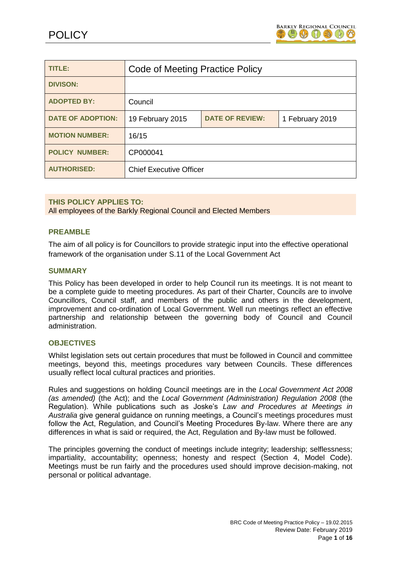

| <b>TITLE:</b>            | <b>Code of Meeting Practice Policy</b> |                        |                 |
|--------------------------|----------------------------------------|------------------------|-----------------|
| <b>DIVISON:</b>          |                                        |                        |                 |
| <b>ADOPTED BY:</b>       | Council                                |                        |                 |
| <b>DATE OF ADOPTION:</b> | 19 February 2015                       | <b>DATE OF REVIEW:</b> | 1 February 2019 |
| <b>MOTION NUMBER:</b>    | 16/15                                  |                        |                 |
| <b>POLICY NUMBER:</b>    | CP000041                               |                        |                 |
| <b>AUTHORISED:</b>       | <b>Chief Executive Officer</b>         |                        |                 |

## **THIS POLICY APPLIES TO:**

All employees of the Barkly Regional Council and Elected Members

## **PREAMBLE**

The aim of all policy is for Councillors to provide strategic input into the effective operational framework of the organisation under S.11 of the Local Government Act

#### **SUMMARY**

This Policy has been developed in order to help Council run its meetings. It is not meant to be a complete guide to meeting procedures. As part of their Charter, Councils are to involve Councillors, Council staff, and members of the public and others in the development, improvement and co-ordination of Local Government. Well run meetings reflect an effective partnership and relationship between the governing body of Council and Council administration.

## **OBJECTIVES**

Whilst legislation sets out certain procedures that must be followed in Council and committee meetings, beyond this, meetings procedures vary between Councils. These differences usually reflect local cultural practices and priorities.

Rules and suggestions on holding Council meetings are in the *Local Government Act 2008 (as amended)* (the Act); and the *Local Government (Administration) Regulation 2008* (the Regulation). While publications such as Joske's *Law and Procedures at Meetings in Australia* give general guidance on running meetings, a Council's meetings procedures must follow the Act, Regulation, and Council's Meeting Procedures By-law. Where there are any differences in what is said or required, the Act, Regulation and By-law must be followed.

The principles governing the conduct of meetings include integrity; leadership; selflessness; impartiality, accountability; openness; honesty and respect (Section 4, Model Code). Meetings must be run fairly and the procedures used should improve decision-making, not personal or political advantage.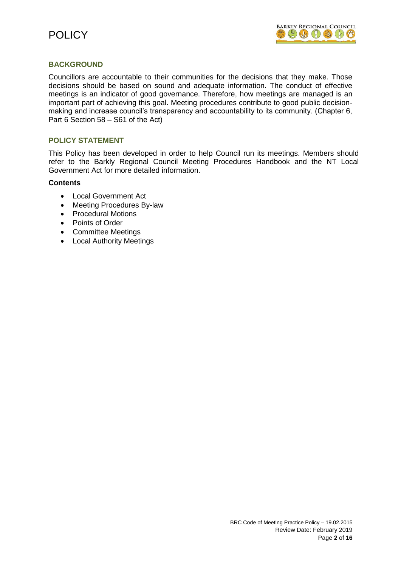## **BACKGROUND**

Councillors are accountable to their communities for the decisions that they make. Those decisions should be based on sound and adequate information. The conduct of effective meetings is an indicator of good governance. Therefore, how meetings are managed is an important part of achieving this goal. Meeting procedures contribute to good public decisionmaking and increase council's transparency and accountability to its community. (Chapter 6, Part 6 Section 58 – S61 of the Act)

## **POLICY STATEMENT**

This Policy has been developed in order to help Council run its meetings. Members should refer to the Barkly Regional Council Meeting Procedures Handbook and the NT Local Government Act for more detailed information.

## **Contents**

- Local Government Act
- Meeting Procedures By-law
- Procedural Motions
- Points of Order
- Committee Meetings
- Local Authority Meetings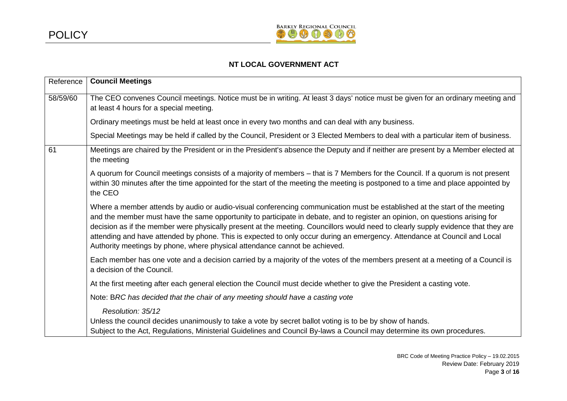

# **NT LOCAL GOVERNMENT ACT**

| Reference | <b>Council Meetings</b>                                                                                                                                                                                                                                                                                                                                                                                                                                                                                                                                                                                    |
|-----------|------------------------------------------------------------------------------------------------------------------------------------------------------------------------------------------------------------------------------------------------------------------------------------------------------------------------------------------------------------------------------------------------------------------------------------------------------------------------------------------------------------------------------------------------------------------------------------------------------------|
| 58/59/60  | The CEO convenes Council meetings. Notice must be in writing. At least 3 days' notice must be given for an ordinary meeting and<br>at least 4 hours for a special meeting.                                                                                                                                                                                                                                                                                                                                                                                                                                 |
|           | Ordinary meetings must be held at least once in every two months and can deal with any business.                                                                                                                                                                                                                                                                                                                                                                                                                                                                                                           |
|           | Special Meetings may be held if called by the Council, President or 3 Elected Members to deal with a particular item of business.                                                                                                                                                                                                                                                                                                                                                                                                                                                                          |
| 61        | Meetings are chaired by the President or in the President's absence the Deputy and if neither are present by a Member elected at<br>the meeting                                                                                                                                                                                                                                                                                                                                                                                                                                                            |
|           | A quorum for Council meetings consists of a majority of members - that is 7 Members for the Council. If a quorum is not present<br>within 30 minutes after the time appointed for the start of the meeting the meeting is postponed to a time and place appointed by<br>the CEO                                                                                                                                                                                                                                                                                                                            |
|           | Where a member attends by audio or audio-visual conferencing communication must be established at the start of the meeting<br>and the member must have the same opportunity to participate in debate, and to register an opinion, on questions arising for<br>decision as if the member were physically present at the meeting. Councillors would need to clearly supply evidence that they are<br>attending and have attended by phone. This is expected to only occur during an emergency. Attendance at Council and Local<br>Authority meetings by phone, where physical attendance cannot be achieved. |
|           | Each member has one vote and a decision carried by a majority of the votes of the members present at a meeting of a Council is<br>a decision of the Council.                                                                                                                                                                                                                                                                                                                                                                                                                                               |
|           | At the first meeting after each general election the Council must decide whether to give the President a casting vote.                                                                                                                                                                                                                                                                                                                                                                                                                                                                                     |
|           | Note: BRC has decided that the chair of any meeting should have a casting vote                                                                                                                                                                                                                                                                                                                                                                                                                                                                                                                             |
|           | Resolution: 35/12<br>Unless the council decides unanimously to take a vote by secret ballot voting is to be by show of hands.<br>Subject to the Act, Regulations, Ministerial Guidelines and Council By-laws a Council may determine its own procedures.                                                                                                                                                                                                                                                                                                                                                   |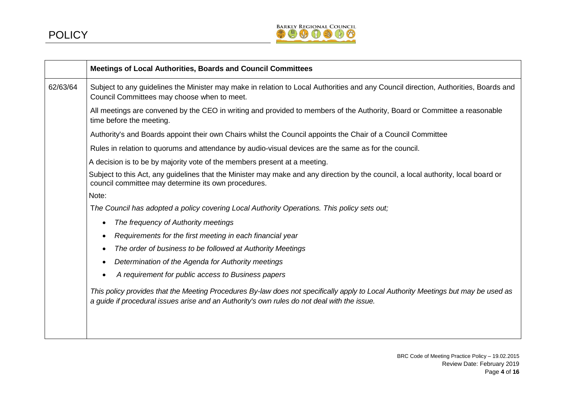

|          | Meetings of Local Authorities, Boards and Council Committees                                                                                                                                                                      |
|----------|-----------------------------------------------------------------------------------------------------------------------------------------------------------------------------------------------------------------------------------|
| 62/63/64 | Subject to any guidelines the Minister may make in relation to Local Authorities and any Council direction, Authorities, Boards and<br>Council Committees may choose when to meet.                                                |
|          | All meetings are convened by the CEO in writing and provided to members of the Authority, Board or Committee a reasonable<br>time before the meeting.                                                                             |
|          | Authority's and Boards appoint their own Chairs whilst the Council appoints the Chair of a Council Committee                                                                                                                      |
|          | Rules in relation to quorums and attendance by audio-visual devices are the same as for the council.                                                                                                                              |
|          | A decision is to be by majority vote of the members present at a meeting.                                                                                                                                                         |
|          | Subject to this Act, any guidelines that the Minister may make and any direction by the council, a local authority, local board or<br>council committee may determine its own procedures.                                         |
|          | Note:                                                                                                                                                                                                                             |
|          | The Council has adopted a policy covering Local Authority Operations. This policy sets out;                                                                                                                                       |
|          | The frequency of Authority meetings<br>$\bullet$                                                                                                                                                                                  |
|          | Requirements for the first meeting in each financial year<br>$\bullet$                                                                                                                                                            |
|          | The order of business to be followed at Authority Meetings<br>$\bullet$                                                                                                                                                           |
|          | Determination of the Agenda for Authority meetings                                                                                                                                                                                |
|          | A requirement for public access to Business papers                                                                                                                                                                                |
|          | This policy provides that the Meeting Procedures By-law does not specifically apply to Local Authority Meetings but may be used as<br>a guide if procedural issues arise and an Authority's own rules do not deal with the issue. |
|          |                                                                                                                                                                                                                                   |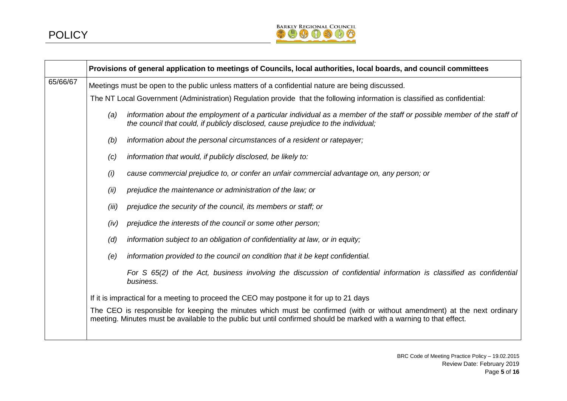

|          |                                                                                                                           | Provisions of general application to meetings of Councils, local authorities, local boards, and council committees                                                                                                                              |
|----------|---------------------------------------------------------------------------------------------------------------------------|-------------------------------------------------------------------------------------------------------------------------------------------------------------------------------------------------------------------------------------------------|
| 65/66/67 | Meetings must be open to the public unless matters of a confidential nature are being discussed.                          |                                                                                                                                                                                                                                                 |
|          | The NT Local Government (Administration) Regulation provide that the following information is classified as confidential: |                                                                                                                                                                                                                                                 |
|          | (a)                                                                                                                       | information about the employment of a particular individual as a member of the staff or possible member of the staff of<br>the council that could, if publicly disclosed, cause prejudice to the individual;                                    |
|          | (b)                                                                                                                       | information about the personal circumstances of a resident or ratepayer;                                                                                                                                                                        |
|          | (c)                                                                                                                       | information that would, if publicly disclosed, be likely to:                                                                                                                                                                                    |
|          | (i)                                                                                                                       | cause commercial prejudice to, or confer an unfair commercial advantage on, any person; or                                                                                                                                                      |
|          | (ii)                                                                                                                      | prejudice the maintenance or administration of the law; or                                                                                                                                                                                      |
|          | (iii)                                                                                                                     | prejudice the security of the council, its members or staff; or                                                                                                                                                                                 |
|          | (iv)                                                                                                                      | prejudice the interests of the council or some other person;                                                                                                                                                                                    |
|          | (d)                                                                                                                       | information subject to an obligation of confidentiality at law, or in equity;                                                                                                                                                                   |
|          | (e)                                                                                                                       | information provided to the council on condition that it be kept confidential.                                                                                                                                                                  |
|          |                                                                                                                           | For S 65(2) of the Act, business involving the discussion of confidential information is classified as confidential<br>business.                                                                                                                |
|          | If it is impractical for a meeting to proceed the CEO may postpone it for up to 21 days                                   |                                                                                                                                                                                                                                                 |
|          |                                                                                                                           | The CEO is responsible for keeping the minutes which must be confirmed (with or without amendment) at the next ordinary<br>meeting. Minutes must be available to the public but until confirmed should be marked with a warning to that effect. |
|          |                                                                                                                           |                                                                                                                                                                                                                                                 |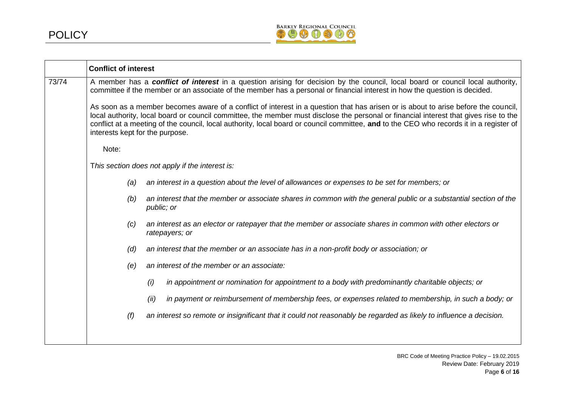

|       | <b>Conflict of interest</b>                                                                                                                                                                                                                                                                                                                                                                                                                               |  |  |
|-------|-----------------------------------------------------------------------------------------------------------------------------------------------------------------------------------------------------------------------------------------------------------------------------------------------------------------------------------------------------------------------------------------------------------------------------------------------------------|--|--|
| 73/74 | A member has a conflict of interest in a question arising for decision by the council, local board or council local authority,<br>committee if the member or an associate of the member has a personal or financial interest in how the question is decided.                                                                                                                                                                                              |  |  |
|       | As soon as a member becomes aware of a conflict of interest in a question that has arisen or is about to arise before the council,<br>local authority, local board or council committee, the member must disclose the personal or financial interest that gives rise to the<br>conflict at a meeting of the council, local authority, local board or council committee, and to the CEO who records it in a register of<br>interests kept for the purpose. |  |  |
|       | Note:                                                                                                                                                                                                                                                                                                                                                                                                                                                     |  |  |
|       | This section does not apply if the interest is:                                                                                                                                                                                                                                                                                                                                                                                                           |  |  |
|       | an interest in a question about the level of allowances or expenses to be set for members; or<br>(a)                                                                                                                                                                                                                                                                                                                                                      |  |  |
|       | an interest that the member or associate shares in common with the general public or a substantial section of the<br>(b)<br>public; or                                                                                                                                                                                                                                                                                                                    |  |  |
|       | an interest as an elector or ratepayer that the member or associate shares in common with other electors or<br>(c)<br>ratepayers; or                                                                                                                                                                                                                                                                                                                      |  |  |
|       | an interest that the member or an associate has in a non-profit body or association; or<br>(d)                                                                                                                                                                                                                                                                                                                                                            |  |  |
|       | an interest of the member or an associate:<br>(e)                                                                                                                                                                                                                                                                                                                                                                                                         |  |  |
|       | (i)<br>in appointment or nomination for appointment to a body with predominantly charitable objects; or                                                                                                                                                                                                                                                                                                                                                   |  |  |
|       | (ii)<br>in payment or reimbursement of membership fees, or expenses related to membership, in such a body; or                                                                                                                                                                                                                                                                                                                                             |  |  |
|       | an interest so remote or insignificant that it could not reasonably be regarded as likely to influence a decision.<br>(f)                                                                                                                                                                                                                                                                                                                                 |  |  |
|       |                                                                                                                                                                                                                                                                                                                                                                                                                                                           |  |  |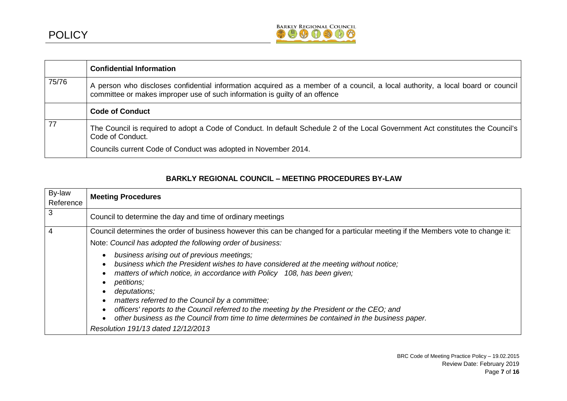

|       | <b>Confidential Information</b>                                                                                                                                                                               |
|-------|---------------------------------------------------------------------------------------------------------------------------------------------------------------------------------------------------------------|
| 75/76 | A person who discloses confidential information acquired as a member of a council, a local authority, a local board or council<br>committee or makes improper use of such information is guilty of an offence |
|       | <b>Code of Conduct</b>                                                                                                                                                                                        |
| 77    | The Council is required to adopt a Code of Conduct. In default Schedule 2 of the Local Government Act constitutes the Council's<br>Code of Conduct.                                                           |
|       | Councils current Code of Conduct was adopted in November 2014.                                                                                                                                                |

# **BARKLY REGIONAL COUNCIL – MEETING PROCEDURES BY-LAW**

| By-law    | <b>Meeting Procedures</b>                                                                                                                                                                                                                                                                                                                                                                                                                                     |  |
|-----------|---------------------------------------------------------------------------------------------------------------------------------------------------------------------------------------------------------------------------------------------------------------------------------------------------------------------------------------------------------------------------------------------------------------------------------------------------------------|--|
| Reference |                                                                                                                                                                                                                                                                                                                                                                                                                                                               |  |
| 3         | Council to determine the day and time of ordinary meetings                                                                                                                                                                                                                                                                                                                                                                                                    |  |
|           | Council determines the order of business however this can be changed for a particular meeting if the Members vote to change it:                                                                                                                                                                                                                                                                                                                               |  |
|           | Note: Council has adopted the following order of business:                                                                                                                                                                                                                                                                                                                                                                                                    |  |
|           | business arising out of previous meetings;<br>$\bullet$<br>business which the President wishes to have considered at the meeting without notice;<br>$\bullet$<br>matters of which notice, in accordance with Policy 108, has been given;<br>petitions;<br>$\bullet$<br>deputations;<br>$\bullet$<br>matters referred to the Council by a committee;<br>$\bullet$<br>officers' reports to the Council referred to the meeting by the President or the CEO; and |  |
|           | $\bullet$<br>other business as the Council from time to time determines be contained in the business paper.                                                                                                                                                                                                                                                                                                                                                   |  |
|           | Resolution 191/13 dated 12/12/2013                                                                                                                                                                                                                                                                                                                                                                                                                            |  |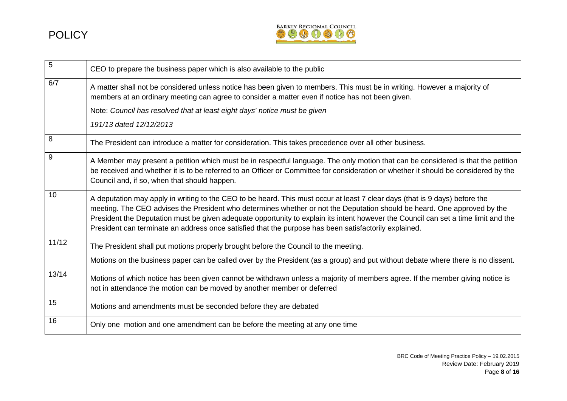

| 5     | CEO to prepare the business paper which is also available to the public                                                                                                                                                                                                                                                                                                                                                                                                                                |
|-------|--------------------------------------------------------------------------------------------------------------------------------------------------------------------------------------------------------------------------------------------------------------------------------------------------------------------------------------------------------------------------------------------------------------------------------------------------------------------------------------------------------|
| 6/7   | A matter shall not be considered unless notice has been given to members. This must be in writing. However a majority of<br>members at an ordinary meeting can agree to consider a matter even if notice has not been given.                                                                                                                                                                                                                                                                           |
|       | Note: Council has resolved that at least eight days' notice must be given                                                                                                                                                                                                                                                                                                                                                                                                                              |
|       | 191/13 dated 12/12/2013                                                                                                                                                                                                                                                                                                                                                                                                                                                                                |
| 8     | The President can introduce a matter for consideration. This takes precedence over all other business.                                                                                                                                                                                                                                                                                                                                                                                                 |
| 9     | A Member may present a petition which must be in respectful language. The only motion that can be considered is that the petition<br>be received and whether it is to be referred to an Officer or Committee for consideration or whether it should be considered by the<br>Council and, if so, when that should happen.                                                                                                                                                                               |
| 10    | A deputation may apply in writing to the CEO to be heard. This must occur at least 7 clear days (that is 9 days) before the<br>meeting. The CEO advises the President who determines whether or not the Deputation should be heard. One approved by the<br>President the Deputation must be given adequate opportunity to explain its intent however the Council can set a time limit and the<br>President can terminate an address once satisfied that the purpose has been satisfactorily explained. |
| 11/12 | The President shall put motions properly brought before the Council to the meeting.                                                                                                                                                                                                                                                                                                                                                                                                                    |
|       | Motions on the business paper can be called over by the President (as a group) and put without debate where there is no dissent.                                                                                                                                                                                                                                                                                                                                                                       |
| 13/14 | Motions of which notice has been given cannot be withdrawn unless a majority of members agree. If the member giving notice is<br>not in attendance the motion can be moved by another member or deferred                                                                                                                                                                                                                                                                                               |
| 15    | Motions and amendments must be seconded before they are debated                                                                                                                                                                                                                                                                                                                                                                                                                                        |
| 16    | Only one motion and one amendment can be before the meeting at any one time                                                                                                                                                                                                                                                                                                                                                                                                                            |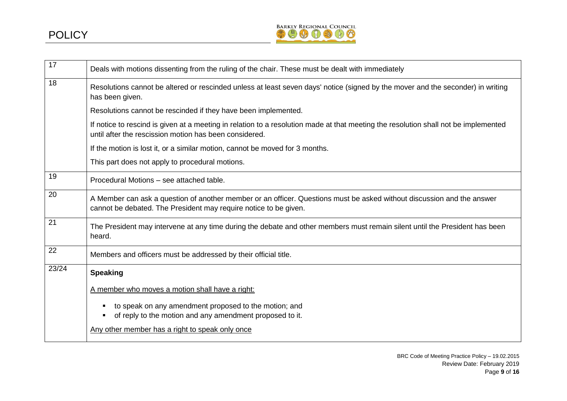

| 17    | Deals with motions dissenting from the ruling of the chair. These must be dealt with immediately                                                                                              |
|-------|-----------------------------------------------------------------------------------------------------------------------------------------------------------------------------------------------|
| 18    | Resolutions cannot be altered or rescinded unless at least seven days' notice (signed by the mover and the seconder) in writing<br>has been given.                                            |
|       | Resolutions cannot be rescinded if they have been implemented.                                                                                                                                |
|       | If notice to rescind is given at a meeting in relation to a resolution made at that meeting the resolution shall not be implemented<br>until after the rescission motion has been considered. |
|       | If the motion is lost it, or a similar motion, cannot be moved for 3 months.                                                                                                                  |
|       | This part does not apply to procedural motions.                                                                                                                                               |
| 19    | Procedural Motions - see attached table.                                                                                                                                                      |
| 20    | A Member can ask a question of another member or an officer. Questions must be asked without discussion and the answer<br>cannot be debated. The President may require notice to be given.    |
| 21    | The President may intervene at any time during the debate and other members must remain silent until the President has been<br>heard.                                                         |
| 22    | Members and officers must be addressed by their official title.                                                                                                                               |
| 23/24 | <b>Speaking</b>                                                                                                                                                                               |
|       | A member who moves a motion shall have a right:                                                                                                                                               |
|       | to speak on any amendment proposed to the motion; and<br>of reply to the motion and any amendment proposed to it.                                                                             |
|       | Any other member has a right to speak only once                                                                                                                                               |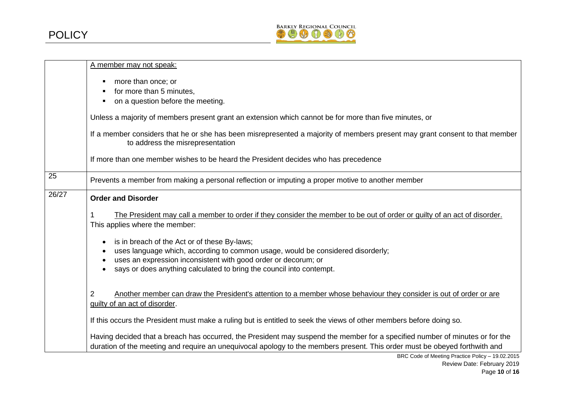

|       | A member may not speak:                                                                                                                                                                                                                                                                                       |
|-------|---------------------------------------------------------------------------------------------------------------------------------------------------------------------------------------------------------------------------------------------------------------------------------------------------------------|
|       | more than once; or<br>٠<br>for more than 5 minutes,<br>٠<br>on a question before the meeting.                                                                                                                                                                                                                 |
|       | Unless a majority of members present grant an extension which cannot be for more than five minutes, or                                                                                                                                                                                                        |
|       | If a member considers that he or she has been misrepresented a majority of members present may grant consent to that member<br>to address the misrepresentation                                                                                                                                               |
|       | If more than one member wishes to be heard the President decides who has precedence                                                                                                                                                                                                                           |
| 25    | Prevents a member from making a personal reflection or imputing a proper motive to another member                                                                                                                                                                                                             |
| 26/27 | <b>Order and Disorder</b>                                                                                                                                                                                                                                                                                     |
|       | The President may call a member to order if they consider the member to be out of order or quilty of an act of disorder.<br>This applies where the member:                                                                                                                                                    |
|       | is in breach of the Act or of these By-laws;<br>$\bullet$<br>uses language which, according to common usage, would be considered disorderly;<br>$\bullet$<br>uses an expression inconsistent with good order or decorum; or<br>says or does anything calculated to bring the council into contempt.           |
|       | Another member can draw the President's attention to a member whose behaviour they consider is out of order or are<br>$\overline{2}$<br>guilty of an act of disorder.                                                                                                                                         |
|       | If this occurs the President must make a ruling but is entitled to seek the views of other members before doing so.                                                                                                                                                                                           |
|       | Having decided that a breach has occurred, the President may suspend the member for a specified number of minutes or for the<br>duration of the meeting and require an unequivocal apology to the members present. This order must be obeyed forthwith and<br>BBC Code of Mooting Brooties Believe 10.02.2015 |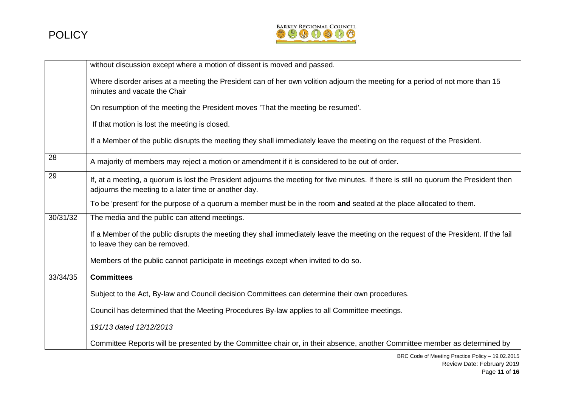

|          | without discussion except where a motion of dissent is moved and passed.                                                                                                                       |
|----------|------------------------------------------------------------------------------------------------------------------------------------------------------------------------------------------------|
|          | Where disorder arises at a meeting the President can of her own volition adjourn the meeting for a period of not more than 15<br>minutes and vacate the Chair                                  |
|          | On resumption of the meeting the President moves 'That the meeting be resumed'.                                                                                                                |
|          | If that motion is lost the meeting is closed.                                                                                                                                                  |
|          | If a Member of the public disrupts the meeting they shall immediately leave the meeting on the request of the President.                                                                       |
| 28       | A majority of members may reject a motion or amendment if it is considered to be out of order.                                                                                                 |
| 29       | If, at a meeting, a quorum is lost the President adjourns the meeting for five minutes. If there is still no quorum the President then<br>adjourns the meeting to a later time or another day. |
|          | To be 'present' for the purpose of a quorum a member must be in the room and seated at the place allocated to them.                                                                            |
| 30/31/32 | The media and the public can attend meetings.                                                                                                                                                  |
|          | If a Member of the public disrupts the meeting they shall immediately leave the meeting on the request of the President. If the fail<br>to leave they can be removed.                          |
|          | Members of the public cannot participate in meetings except when invited to do so.                                                                                                             |
| 33/34/35 | <b>Committees</b>                                                                                                                                                                              |
|          | Subject to the Act, By-law and Council decision Committees can determine their own procedures.                                                                                                 |
|          | Council has determined that the Meeting Procedures By-law applies to all Committee meetings.                                                                                                   |
|          | 191/13 dated 12/12/2013                                                                                                                                                                        |
|          | Committee Reports will be presented by the Committee chair or, in their absence, another Committee member as determined by                                                                     |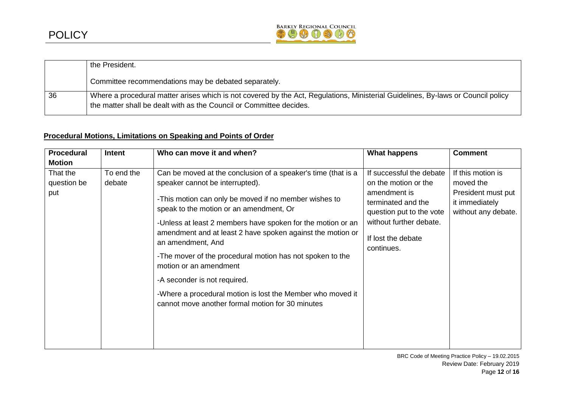

|    | the President.                                                                                                                                                                                          |
|----|---------------------------------------------------------------------------------------------------------------------------------------------------------------------------------------------------------|
|    | Committee recommendations may be debated separately.                                                                                                                                                    |
| 36 | Where a procedural matter arises which is not covered by the Act, Regulations, Ministerial Guidelines, By-laws or Council policy<br>the matter shall be dealt with as the Council or Committee decides. |

# **Procedural Motions, Limitations on Speaking and Points of Order**

| <b>Procedural</b> | Intent     | Who can move it and when?                                                                                                                      | <b>What happens</b>                                                                                                           | <b>Comment</b>                                              |
|-------------------|------------|------------------------------------------------------------------------------------------------------------------------------------------------|-------------------------------------------------------------------------------------------------------------------------------|-------------------------------------------------------------|
| <b>Motion</b>     |            |                                                                                                                                                |                                                                                                                               |                                                             |
| That the          | To end the | Can be moved at the conclusion of a speaker's time (that is a                                                                                  | If successful the debate                                                                                                      | If this motion is                                           |
| question be       | debate     | speaker cannot be interrupted).                                                                                                                | on the motion or the                                                                                                          | moved the                                                   |
| put               |            | -This motion can only be moved if no member wishes to<br>speak to the motion or an amendment, Or                                               | amendment is<br>terminated and the<br>question put to the vote<br>without further debate.<br>If lost the debate<br>continues. | President must put<br>it immediately<br>without any debate. |
|                   |            | -Unless at least 2 members have spoken for the motion or an<br>amendment and at least 2 have spoken against the motion or<br>an amendment, And |                                                                                                                               |                                                             |
|                   |            | -The mover of the procedural motion has not spoken to the<br>motion or an amendment                                                            |                                                                                                                               |                                                             |
|                   |            | -A seconder is not required.                                                                                                                   |                                                                                                                               |                                                             |
|                   |            | -Where a procedural motion is lost the Member who moved it<br>cannot move another formal motion for 30 minutes                                 |                                                                                                                               |                                                             |
|                   |            |                                                                                                                                                |                                                                                                                               |                                                             |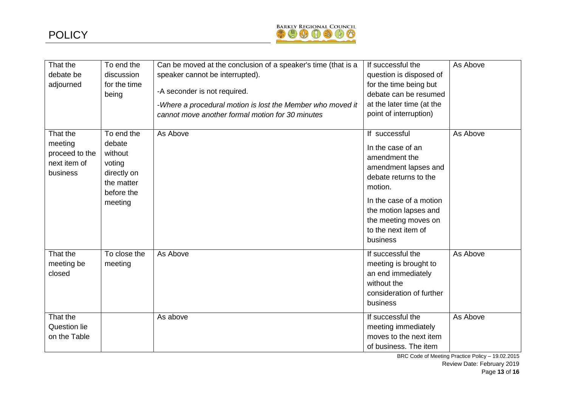

| That the<br>debate be<br>adjourned                                | To end the<br>discussion<br>for the time<br>being                                               | Can be moved at the conclusion of a speaker's time (that is a<br>speaker cannot be interrupted).<br>-A seconder is not required.<br>-Where a procedural motion is lost the Member who moved it<br>cannot move another formal motion for 30 minutes | If successful the<br>question is disposed of<br>for the time being but<br>debate can be resumed<br>at the later time (at the<br>point of interruption)                                                                         | As Above |
|-------------------------------------------------------------------|-------------------------------------------------------------------------------------------------|----------------------------------------------------------------------------------------------------------------------------------------------------------------------------------------------------------------------------------------------------|--------------------------------------------------------------------------------------------------------------------------------------------------------------------------------------------------------------------------------|----------|
| That the<br>meeting<br>proceed to the<br>next item of<br>business | To end the<br>debate<br>without<br>voting<br>directly on<br>the matter<br>before the<br>meeting | As Above                                                                                                                                                                                                                                           | If successful<br>In the case of an<br>amendment the<br>amendment lapses and<br>debate returns to the<br>motion.<br>In the case of a motion<br>the motion lapses and<br>the meeting moves on<br>to the next item of<br>business | As Above |
| That the<br>meeting be<br>closed                                  | To close the<br>meeting                                                                         | As Above                                                                                                                                                                                                                                           | If successful the<br>meeting is brought to<br>an end immediately<br>without the<br>consideration of further<br>business                                                                                                        | As Above |
| That the<br>Question lie<br>on the Table                          |                                                                                                 | As above                                                                                                                                                                                                                                           | If successful the<br>meeting immediately<br>moves to the next item<br>of business. The item                                                                                                                                    | As Above |

BRC Code of Meeting Practice Policy – 19.02.2015 Review Date: February 2019 Page **13** of **16**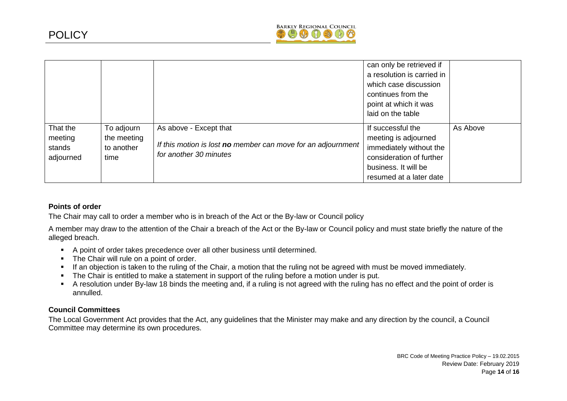

|                                            |                                                 |                                                                                                                  | can only be retrieved if<br>a resolution is carried in<br>which case discussion<br>continues from the<br>point at which it was<br>laid on the table |          |
|--------------------------------------------|-------------------------------------------------|------------------------------------------------------------------------------------------------------------------|-----------------------------------------------------------------------------------------------------------------------------------------------------|----------|
| That the<br>meeting<br>stands<br>adjourned | To adjourn<br>the meeting<br>to another<br>time | As above - Except that<br>If this motion is lost no member can move for an adjournment<br>for another 30 minutes | If successful the<br>meeting is adjourned<br>immediately without the<br>consideration of further<br>business. It will be<br>resumed at a later date | As Above |

## **Points of order**

The Chair may call to order a member who is in breach of the Act or the By-law or Council policy

A member may draw to the attention of the Chair a breach of the Act or the By-law or Council policy and must state briefly the nature of the alleged breach.

- A point of order takes precedence over all other business until determined.
- The Chair will rule on a point of order.
- If an objection is taken to the ruling of the Chair, a motion that the ruling not be agreed with must be moved immediately.
- The Chair is entitled to make a statement in support of the ruling before a motion under is put.
- A resolution under By-law 18 binds the meeting and, if a ruling is not agreed with the ruling has no effect and the point of order is annulled.

## **Council Committees**

The Local Government Act provides that the Act, any guidelines that the Minister may make and any direction by the council, a Council Committee may determine its own procedures.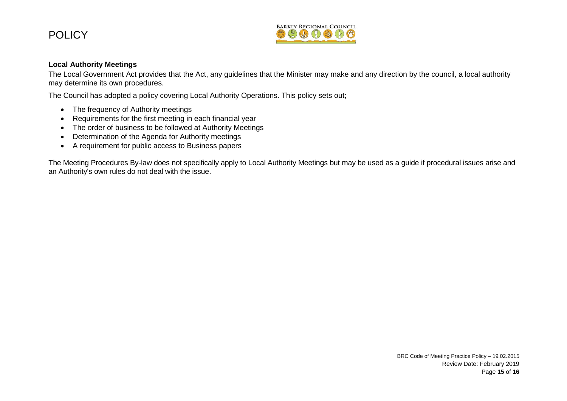

## **Local Authority Meetings**

The Local Government Act provides that the Act, any guidelines that the Minister may make and any direction by the council, a local authority may determine its own procedures.

The Council has adopted a policy covering Local Authority Operations. This policy sets out;

- The frequency of Authority meetings
- Requirements for the first meeting in each financial year
- The order of business to be followed at Authority Meetings
- Determination of the Agenda for Authority meetings
- A requirement for public access to Business papers

The Meeting Procedures By-law does not specifically apply to Local Authority Meetings but may be used as a guide if procedural issues arise and an Authority's own rules do not deal with the issue.